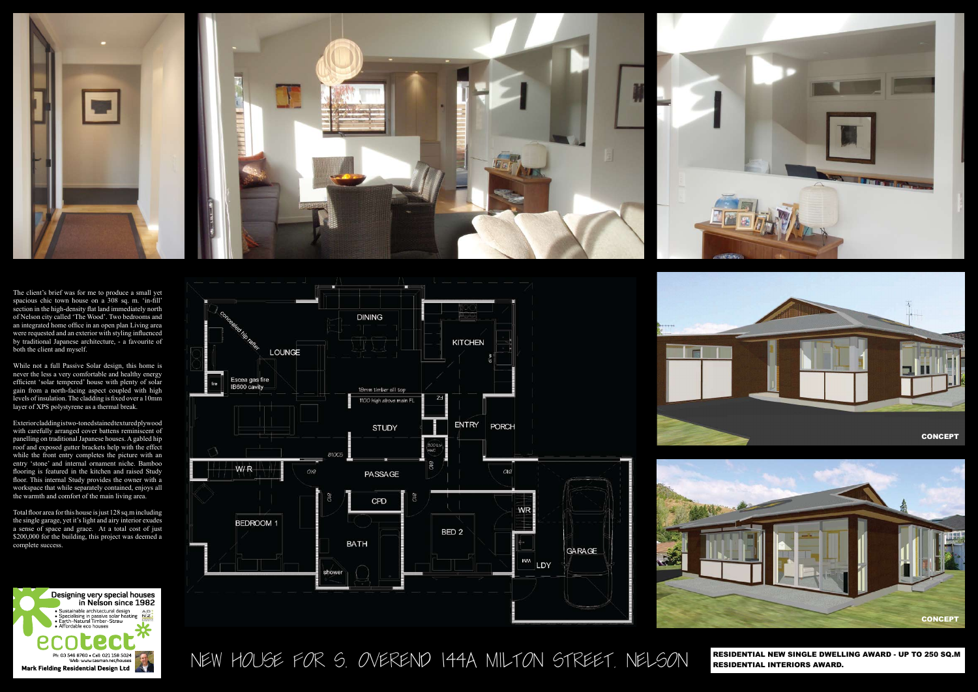NEW HOUSE FOR S. OVEREND 144A MILTON STREET, NELSON



The client's brief was for me to produce a small yet spacious chic town house on a 308 sq. m. 'in-fill' section in the high-density flat land immediately north of Nelson city called 'The Wood'. Two bedrooms and an integrated home office in an open plan Living area were requested and an exterior with styling influenced by traditional Japanese architecture, - a favourite of both the client and myself.

While not a full Passive Solar design, this home is never the less a very comfortable and healthy energy efficient 'solar tempered' house with plenty of solar gain from a north-facing aspect coupled with high levels of insulation. The cladding is fixed over a 10mm layer of XPS polystyrene as a thermal break.

Exterior cladding is two-toned stained textured plywood with carefully arranged cover battens reminiscent of panelling on traditional Japanese houses. A gabled hip roof and exposed gutter brackets help with the effect while the front entry completes the picture with an entry 'stone' and internal ornament niche. Bamboo flooring is featured in the kitchen and raised Study floor. This internal Study provides the owner with a workspace that while separately contained, enjoys all the warmth and comfort of the main living area.

Total floor area for this house is just 128 sq.m including the single garage, yet it's light and airy interior exudes a sense of space and grace. At a total cost of just \$200,000 for the building, this project was deemed a complete success.









RESIDENTIAL NEW SINGLE DWELLING AWARD - UP TO 250 SQ.M RESIDENTIAL INTERIORS AWARD.